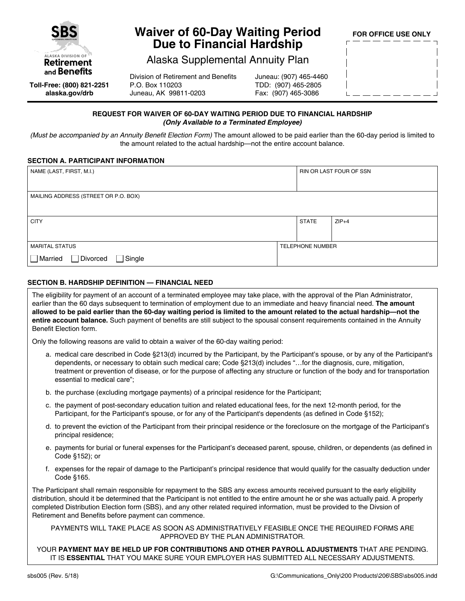

# **Waiver of 60-Day Waiting Period Due to Financial Hardship**

**FOR OFFICE USE ONLY**

### Alaska Supplemental Annuity Plan

**Toll-Free: (800) 821-2251 alaska.gov/drb**

Division of Retirement and Benefits P.O. Box 110203 Juneau, AK 99811-0203

Juneau: (907) 465-4460 TDD: (907) 465-2805 Fax: (907) 465-3086

### **REQUEST FOR WAIVER OF 60-DAY WAITING PERIOD DUE TO FINANCIAL HARDSHIP** *(Only Available to a Terminated Employee)*

(Must be accompanied by an Annuity Benefit Election Form) The amount allowed to be paid earlier than the 60-day period is limited to the amount related to the actual hardship—not the entire account balance.

### **SECTION A. PARTICIPANT INFORMATION**

| NAME (LAST, FIRST, M.I.)             |  | <b>RIN OR LAST FOUR OF SSN</b> |         |
|--------------------------------------|--|--------------------------------|---------|
|                                      |  |                                |         |
| MAILING ADDRESS (STREET OR P.O. BOX) |  |                                |         |
|                                      |  |                                |         |
| <b>CITY</b>                          |  | <b>STATE</b>                   | $ZIP+4$ |
|                                      |  |                                |         |
| <b>MARITAL STATUS</b>                |  | TELEPHONE NUMBER               |         |
| Married<br>Divorced<br>$\Box$ Single |  |                                |         |

### **SECTION B. HARDSHIP DEFINITION — FINANCIAL NEED**

The eligibility for payment of an account of a terminated employee may take place, with the approval of the Plan Administrator, earlier than the 60 days subsequent to termination of employment due to an immediate and heavy financial need. **The amount allowed to be paid earlier than the 60-day waiting period is limited to the amount related to the actual hardship—not the entire account balance.** Such payment of benefits are still subject to the spousal consent requirements contained in the Annuity Benefit Election form.

Only the following reasons are valid to obtain a waiver of the 60-day waiting period:

- a. medical care described in Code §213(d) incurred by the Participant, by the Participant's spouse, or by any of the Participant's dependents, or necessary to obtain such medical care; Code §213(d) includes "…for the diagnosis, cure, mitigation, treatment or prevention of disease, or for the purpose of affecting any structure or function of the body and for transportation essential to medical care";
- b. the purchase (excluding mortgage payments) of a principal residence for the Participant;
- c. the payment of post-secondary education tuition and related educational fees, for the next 12-month period, for the Participant, for the Participant's spouse, or for any of the Participant's dependents (as defined in Code §152);
- d. to prevent the eviction of the Participant from their principal residence or the foreclosure on the mortgage of the Participant's principal residence;
- e. payments for burial or funeral expenses for the Participant's deceased parent, spouse, children, or dependents (as defined in Code §152); or
- f. expenses for the repair of damage to the Participant's principal residence that would qualify for the casualty deduction under Code §165.

The Participant shall remain responsible for repayment to the SBS any excess amounts received pursuant to the early eligibility distribution, should it be determined that the Participant is not entitled to the entire amount he or she was actually paid. A properly completed Distribution Election form (SBS), and any other related required information, must be provided to the Divsion of Retirement and Benefits before payment can commence.

PAYMENTS WILL TAKE PLACE AS SOON AS ADMINISTRATIVELY FEASIBLE ONCE THE REQUIRED FORMS ARE APPROVED BY THE PLAN ADMINISTRATOR.

YOUR **PAYMENT MAY BE HELD UP FOR CONTRIBUTIONS AND OTHER PAYROLL ADJUSTMENTS** THAT ARE PENDING. IT IS **ESSENTIAL** THAT YOU MAKE SURE YOUR EMPLOYER HAS SUBMITTED ALL NECESSARY ADJUSTMENTS.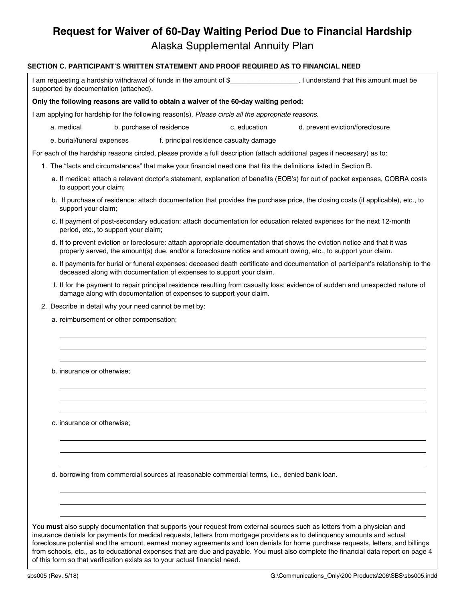# **Request for Waiver of 60-Day Waiting Period Due to Financial Hardship**

Alaska Supplemental Annuity Plan

### **SECTION C. PARTICIPANT'S WRITTEN STATEMENT AND PROOF REQUIRED AS TO FINANCIAL NEED**

| supported by documentation (attached). |                                         |                                                       |                                                                                                    |                                                                                                                                                                                                                                                                                                                                                                                                                                                                                                                                   |
|----------------------------------------|-----------------------------------------|-------------------------------------------------------|----------------------------------------------------------------------------------------------------|-----------------------------------------------------------------------------------------------------------------------------------------------------------------------------------------------------------------------------------------------------------------------------------------------------------------------------------------------------------------------------------------------------------------------------------------------------------------------------------------------------------------------------------|
|                                        |                                         |                                                       | Only the following reasons are valid to obtain a waiver of the 60-day waiting period:              |                                                                                                                                                                                                                                                                                                                                                                                                                                                                                                                                   |
|                                        |                                         |                                                       | I am applying for hardship for the following reason(s). Please circle all the appropriate reasons. |                                                                                                                                                                                                                                                                                                                                                                                                                                                                                                                                   |
| a. medical                             |                                         | b. purchase of residence                              | c. education                                                                                       | d. prevent eviction/foreclosure                                                                                                                                                                                                                                                                                                                                                                                                                                                                                                   |
| e. burial/funeral expenses             |                                         |                                                       | f. principal residence casualty damage                                                             |                                                                                                                                                                                                                                                                                                                                                                                                                                                                                                                                   |
|                                        |                                         |                                                       |                                                                                                    | For each of the hardship reasons circled, please provide a full description (attach additional pages if necessary) as to:                                                                                                                                                                                                                                                                                                                                                                                                         |
|                                        |                                         |                                                       |                                                                                                    | 1. The "facts and circumstances" that make your financial need one that fits the definitions listed in Section B.                                                                                                                                                                                                                                                                                                                                                                                                                 |
| to support your claim;                 |                                         |                                                       |                                                                                                    | a. If medical: attach a relevant doctor's statement, explanation of benefits (EOB's) for out of pocket expenses, COBRA costs                                                                                                                                                                                                                                                                                                                                                                                                      |
| support your claim;                    |                                         |                                                       |                                                                                                    | b. If purchase of residence: attach documentation that provides the purchase price, the closing costs (if applicable), etc., to                                                                                                                                                                                                                                                                                                                                                                                                   |
|                                        | period, etc., to support your claim;    |                                                       |                                                                                                    | c. If payment of post-secondary education: attach documentation for education related expenses for the next 12-month                                                                                                                                                                                                                                                                                                                                                                                                              |
|                                        |                                         |                                                       |                                                                                                    | d. If to prevent eviction or foreclosure: attach appropriate documentation that shows the eviction notice and that it was<br>properly served, the amount(s) due, and/or a foreclosure notice and amount owing, etc., to support your claim.                                                                                                                                                                                                                                                                                       |
|                                        |                                         |                                                       | deceased along with documentation of expenses to support your claim.                               | e. If payments for burial or funeral expenses: deceased death certificate and documentation of participant's relationship to the                                                                                                                                                                                                                                                                                                                                                                                                  |
|                                        |                                         |                                                       | damage along with documentation of expenses to support your claim.                                 | f. If for the payment to repair principal residence resulting from casualty loss: evidence of sudden and unexpected nature of                                                                                                                                                                                                                                                                                                                                                                                                     |
|                                        |                                         | 2. Describe in detail why your need cannot be met by: |                                                                                                    |                                                                                                                                                                                                                                                                                                                                                                                                                                                                                                                                   |
|                                        | a. reimbursement or other compensation; |                                                       |                                                                                                    |                                                                                                                                                                                                                                                                                                                                                                                                                                                                                                                                   |
| b. insurance or otherwise;             |                                         |                                                       |                                                                                                    |                                                                                                                                                                                                                                                                                                                                                                                                                                                                                                                                   |
| c. insurance or otherwise;             |                                         |                                                       |                                                                                                    |                                                                                                                                                                                                                                                                                                                                                                                                                                                                                                                                   |
|                                        |                                         |                                                       | d. borrowing from commercial sources at reasonable commercial terms, i.e., denied bank loan.       |                                                                                                                                                                                                                                                                                                                                                                                                                                                                                                                                   |
|                                        |                                         |                                                       |                                                                                                    | You must also supply documentation that supports your request from external sources such as letters from a physician and<br>insurance denials for payments for medical requests, letters from mortgage providers as to delinquency amounts and actual<br>foreclosure potential and the amount, earnest money agreements and loan denials for home purchase requests, letters, and billings<br>from schools, etc., as to educational expenses that are due and payable. You must also complete the financial data report on page 4 |

of this form so that verification exists as to your actual financial need.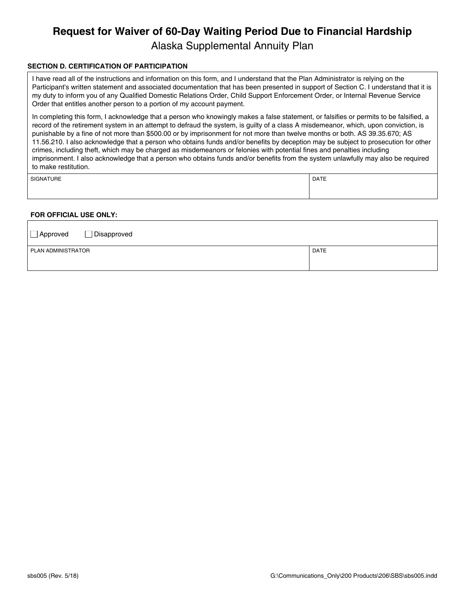# **Request for Waiver of 60-Day Waiting Period Due to Financial Hardship**

Alaska Supplemental Annuity Plan

### **SECTION D. CERTIFICATION OF PARTICIPATION**

I have read all of the instructions and information on this form, and I understand that the Plan Administrator is relying on the Participant's written statement and associated documentation that has been presented in support of Section C. I understand that it is my duty to inform you of any Qualified Domestic Relations Order, Child Support Enforcement Order, or Internal Revenue Service Order that entitles another person to a portion of my account payment.

In completing this form, I acknowledge that a person who knowingly makes a false statement, or falsifies or permits to be falsified, a record of the retirement system in an attempt to defraud the system, is guilty of a class A misdemeanor, which, upon conviction, is punishable by a fine of not more than \$500.00 or by imprisonment for not more than twelve months or both. AS 39.35.670; AS 11.56.210. I also acknowledge that a person who obtains funds and/or benefits by deception may be subject to prosecution for other crimes, including theft, which may be charged as misdemeanors or felonies with potential fines and penalties including imprisonment. I also acknowledge that a person who obtains funds and/or benefits from the system unlawfully may also be required to make restitution.

SIGNATURE PRESENTED IN A SERVICE OF SERVICE SIGNATURE PRESENTED IN A SERVICE OF SERVICE OF SERVICE OF SERVICE O

### **FOR OFFICIAL USE ONLY:**

| $\Box$ Approved    | $\Box$ Disapproved |             |
|--------------------|--------------------|-------------|
| PLAN ADMINISTRATOR |                    | <b>DATE</b> |